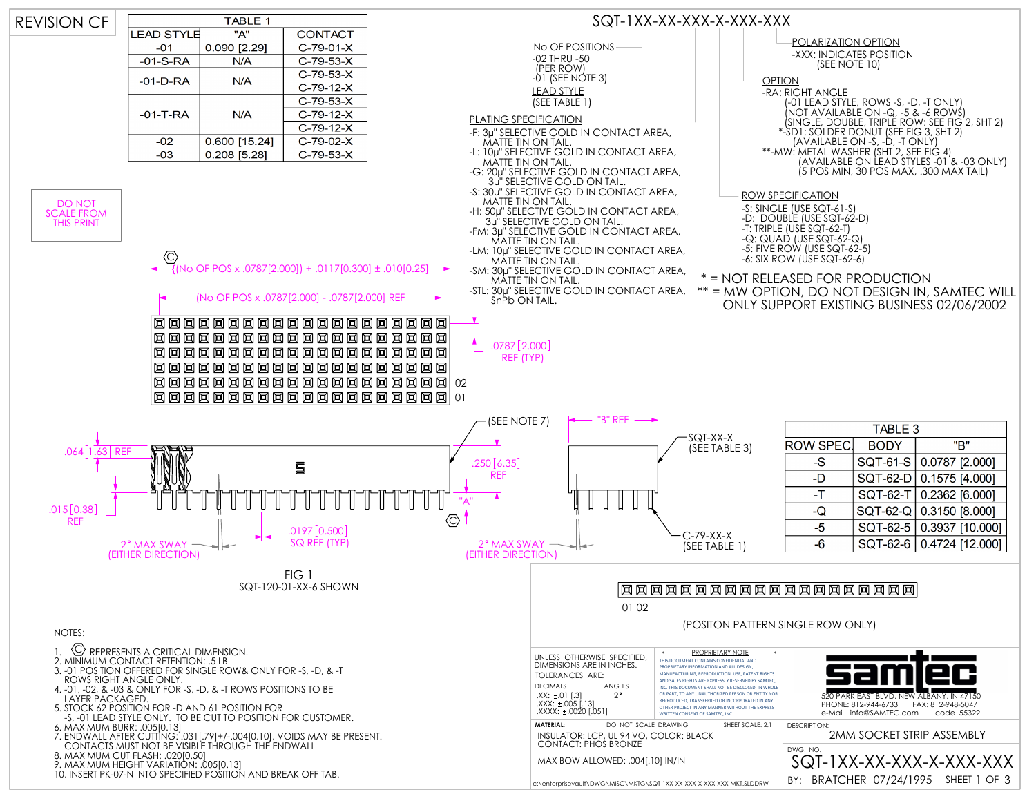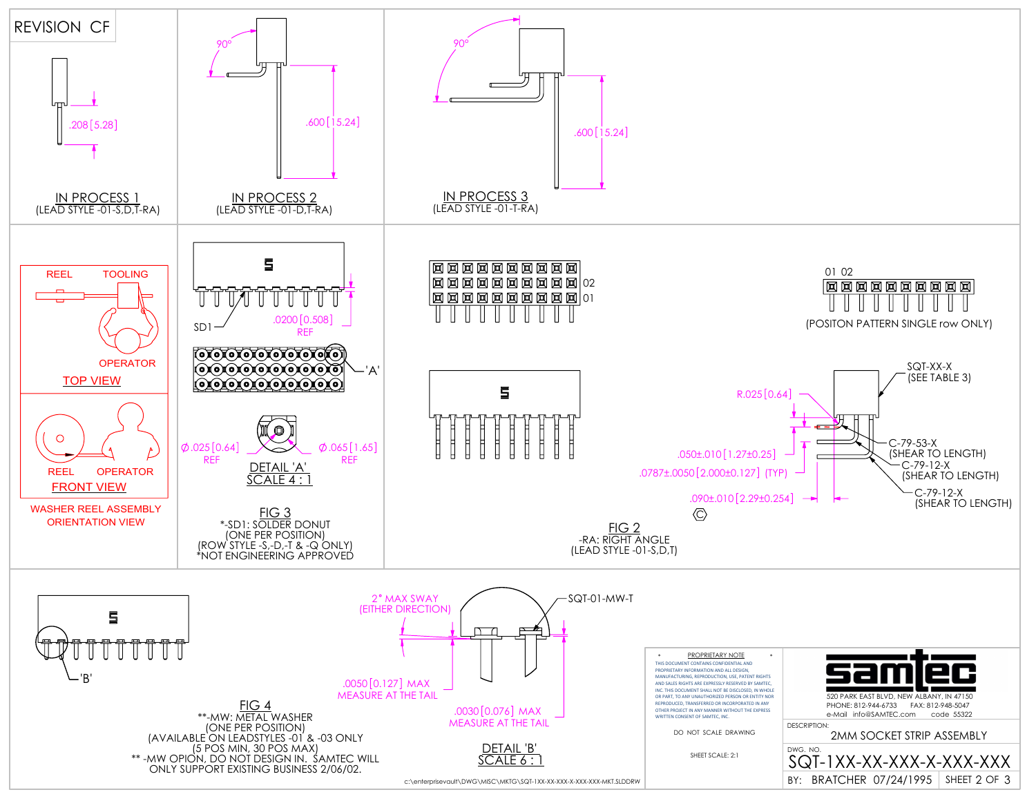